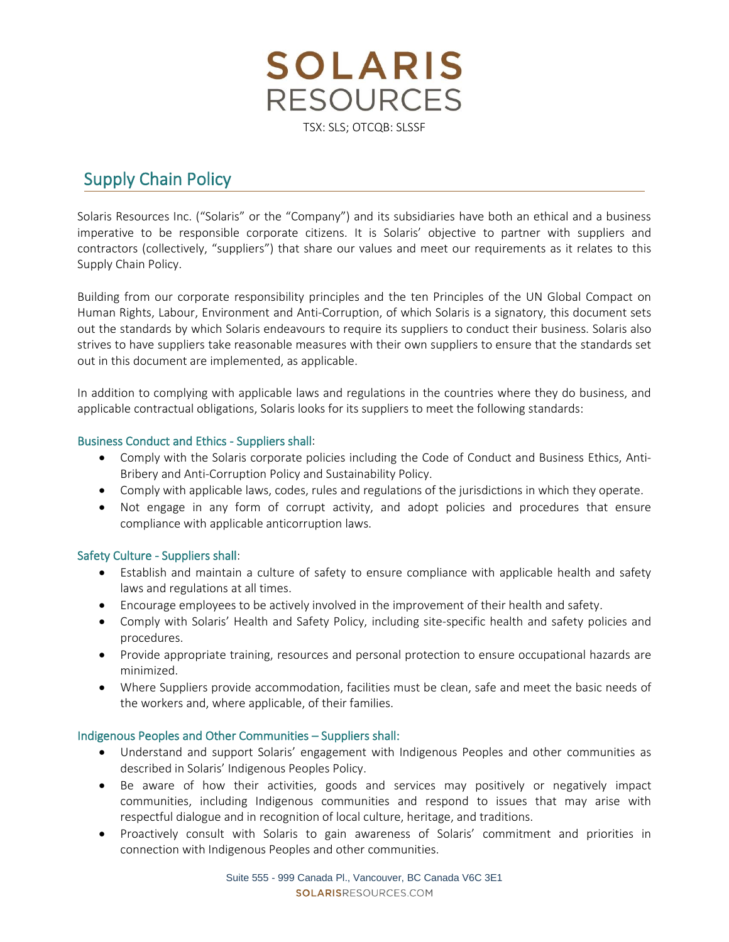**SOLARIS RESOURCES** TSX: SLS; OTCQB: SLSSF

# Supply Chain Policy

Solaris Resources Inc. ("Solaris" or the "Company") and its subsidiaries have both an ethical and a business imperative to be responsible corporate citizens. It is Solaris' objective to partner with suppliers and contractors (collectively, "suppliers") that share our values and meet our requirements as it relates to this Supply Chain Policy.

Building from our corporate responsibility principles and the ten Principles of the UN Global Compact on Human Rights, Labour, Environment and Anti-Corruption, of which Solaris is a signatory, this document sets out the standards by which Solaris endeavours to require its suppliers to conduct their business. Solaris also strives to have suppliers take reasonable measures with their own suppliers to ensure that the standards set out in this document are implemented, as applicable.

In addition to complying with applicable laws and regulations in the countries where they do business, and applicable contractual obligations, Solaris looks for its suppliers to meet the following standards:

#### Business Conduct and Ethics - Suppliers shall:

- Comply with the Solaris corporate policies including the Code of Conduct and [Business Ethics,](https://s24.q4cdn.com/779615370/files/doc_downloads/governance/Alamos-Gold-Inc.-Code-of-Business-Conduct-and-Ethics-Final-Approved-....pdf) [Anti-](https://s24.q4cdn.com/779615370/files/doc_downloads/Alamos_-_Anti-Bribery_and_Corruption_Policy_-_FINAL_-_October_29_2019_English.pdf)Bribery and [Anti-Corruption](https://s24.q4cdn.com/779615370/files/doc_downloads/Alamos_-_Anti-Bribery_and_Corruption_Policy_-_FINAL_-_October_29_2019_English.pdf) Policy and [Sustainability Policy.](https://s24.q4cdn.com/779615370/files/doc_downloads/Alamos_Gold_Sustainability_Policy_February_2020_web_version.pdf)
- Comply with applicable laws, codes, rules and regulations of the jurisdictions in which they operate.
- Not engage in any form of corrupt activity, and adopt policies and procedures that ensure compliance with applicable anticorruption laws.

## Safety Culture - Suppliers shall:

- Establish and maintain a culture of safety to ensure compliance with applicable health and safety laws and regulations at all times.
- Encourage employees to be actively involved in the improvement of their health and safety.
- Comply with Solaris' Health and Safety Policy, including site-specific health and safety policies and procedures.
- Provide appropriate training, resources and personal protection to ensure occupational hazards are minimized.
- Where Suppliers provide accommodation, facilities must be clean, safe and meet the basic needs of the workers and, where applicable, of their families.

#### Indigenous Peoples and Other Communities – Suppliers shall:

- Understand and support Solaris' engagement with Indigenous Peoples and other communities as described in Solaris' Indigenous Peoples Policy.
- Be aware of how their activities, goods and services may positively or negatively impact communities, including Indigenous communities and respond to issues that may arise with respectful dialogue and in recognition of local culture, heritage, and traditions.
- Proactively consult with Solaris to gain awareness of Solaris' commitment and priorities in connection with Indigenous Peoples and other communities.